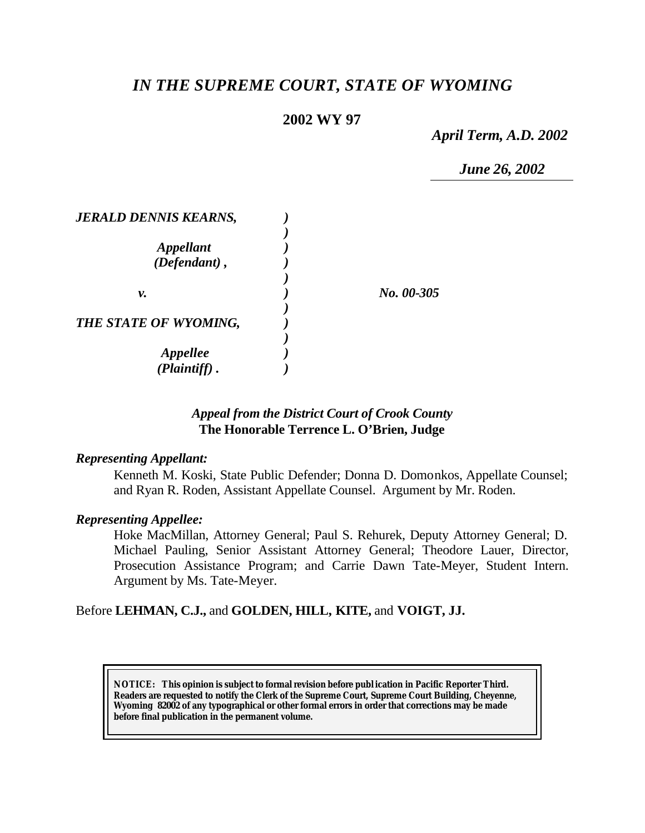# *IN THE SUPREME COURT, STATE OF WYOMING*

# **2002 WY 97**

*April Term, A.D. 2002*

*June 26, 2002*

| <b>JERALD DENNIS KEARNS,</b> |            |
|------------------------------|------------|
|                              |            |
| <b>Appellant</b>             |            |
| $(Defendant)$ ,              |            |
|                              |            |
| ν.                           | No. 00-305 |
|                              |            |
| THE STATE OF WYOMING,        |            |
|                              |            |
| <b>Appellee</b>              |            |
| $(Plaintiff)$ .              |            |

# *Appeal from the District Court of Crook County* **The Honorable Terrence L. O'Brien, Judge**

#### *Representing Appellant:*

Kenneth M. Koski, State Public Defender; Donna D. Domonkos, Appellate Counsel; and Ryan R. Roden, Assistant Appellate Counsel. Argument by Mr. Roden.

# *Representing Appellee:*

Hoke MacMillan, Attorney General; Paul S. Rehurek, Deputy Attorney General; D. Michael Pauling, Senior Assistant Attorney General; Theodore Lauer, Director, Prosecution Assistance Program; and Carrie Dawn Tate-Meyer, Student Intern. Argument by Ms. Tate-Meyer.

# Before **LEHMAN, C.J.,** and **GOLDEN, HILL, KITE,** and **VOIGT, JJ.**

**NOTICE:** *This opinion is subject to formal revision before publ ication in Pacific Reporter Third. Readers are requested to notify the Clerk of the Supreme Court, Supreme Court Building, Cheyenne, Wyoming 82002 of any typographical or other formal errors in order that corrections may be made before final publication in the permanent volume.*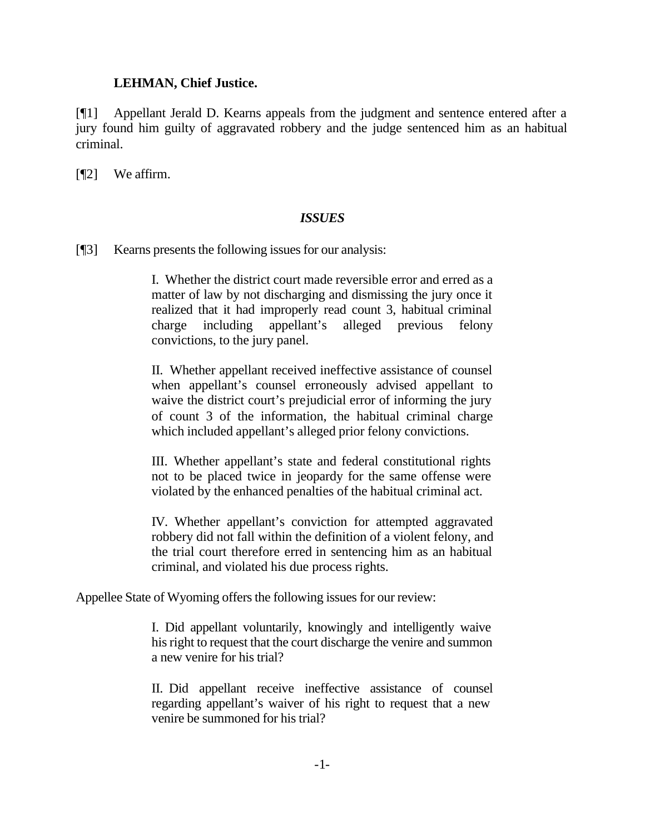#### **LEHMAN, Chief Justice.**

[¶1] Appellant Jerald D. Kearns appeals from the judgment and sentence entered after a jury found him guilty of aggravated robbery and the judge sentenced him as an habitual criminal.

[¶2] We affirm.

#### *ISSUES*

[¶3] Kearns presents the following issues for our analysis:

I. Whether the district court made reversible error and erred as a matter of law by not discharging and dismissing the jury once it realized that it had improperly read count 3, habitual criminal charge including appellant's alleged previous felony convictions, to the jury panel.

II. Whether appellant received ineffective assistance of counsel when appellant's counsel erroneously advised appellant to waive the district court's prejudicial error of informing the jury of count 3 of the information, the habitual criminal charge which included appellant's alleged prior felony convictions.

III. Whether appellant's state and federal constitutional rights not to be placed twice in jeopardy for the same offense were violated by the enhanced penalties of the habitual criminal act.

IV. Whether appellant's conviction for attempted aggravated robbery did not fall within the definition of a violent felony, and the trial court therefore erred in sentencing him as an habitual criminal, and violated his due process rights.

Appellee State of Wyoming offers the following issues for our review:

I. Did appellant voluntarily, knowingly and intelligently waive his right to request that the court discharge the venire and summon a new venire for his trial?

II. Did appellant receive ineffective assistance of counsel regarding appellant's waiver of his right to request that a new venire be summoned for his trial?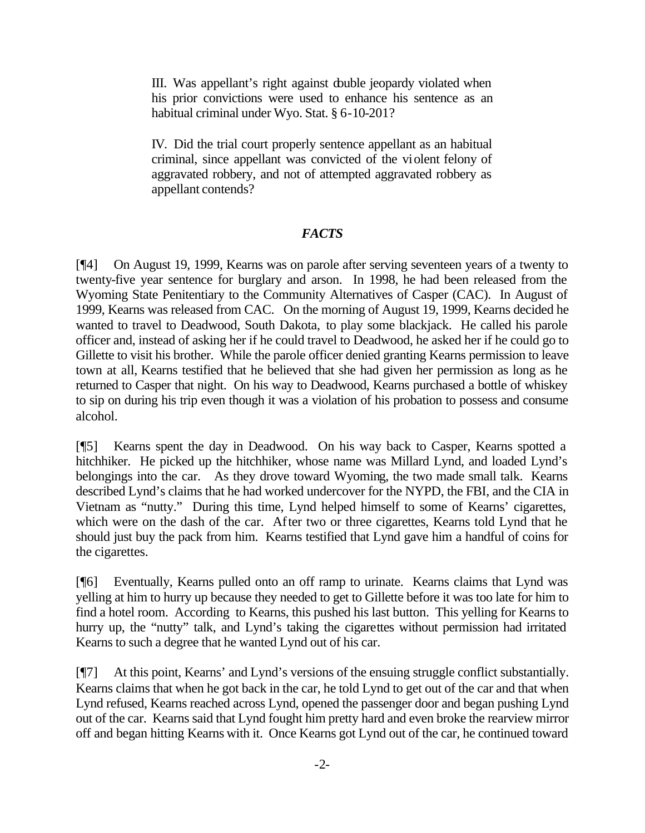III. Was appellant's right against double jeopardy violated when his prior convictions were used to enhance his sentence as an habitual criminal under Wyo. Stat. § 6-10-201?

IV. Did the trial court properly sentence appellant as an habitual criminal, since appellant was convicted of the violent felony of aggravated robbery, and not of attempted aggravated robbery as appellant contends?

# *FACTS*

[¶4] On August 19, 1999, Kearns was on parole after serving seventeen years of a twenty to twenty-five year sentence for burglary and arson. In 1998, he had been released from the Wyoming State Penitentiary to the Community Alternatives of Casper (CAC). In August of 1999, Kearns was released from CAC. On the morning of August 19, 1999, Kearns decided he wanted to travel to Deadwood, South Dakota, to play some blackjack. He called his parole officer and, instead of asking her if he could travel to Deadwood, he asked her if he could go to Gillette to visit his brother. While the parole officer denied granting Kearns permission to leave town at all, Kearns testified that he believed that she had given her permission as long as he returned to Casper that night. On his way to Deadwood, Kearns purchased a bottle of whiskey to sip on during his trip even though it was a violation of his probation to possess and consume alcohol.

[¶5] Kearns spent the day in Deadwood. On his way back to Casper, Kearns spotted a hitchhiker. He picked up the hitchhiker, whose name was Millard Lynd, and loaded Lynd's belongings into the car. As they drove toward Wyoming, the two made small talk. Kearns described Lynd's claims that he had worked undercover for the NYPD, the FBI, and the CIA in Vietnam as "nutty." During this time, Lynd helped himself to some of Kearns' cigarettes, which were on the dash of the car. After two or three cigarettes, Kearns told Lynd that he should just buy the pack from him. Kearns testified that Lynd gave him a handful of coins for the cigarettes.

[¶6] Eventually, Kearns pulled onto an off ramp to urinate. Kearns claims that Lynd was yelling at him to hurry up because they needed to get to Gillette before it was too late for him to find a hotel room. According to Kearns, this pushed his last button. This yelling for Kearns to hurry up, the "nutty" talk, and Lynd's taking the cigarettes without permission had irritated Kearns to such a degree that he wanted Lynd out of his car.

[¶7] At this point, Kearns' and Lynd's versions of the ensuing struggle conflict substantially. Kearns claims that when he got back in the car, he told Lynd to get out of the car and that when Lynd refused, Kearns reached across Lynd, opened the passenger door and began pushing Lynd out of the car. Kearns said that Lynd fought him pretty hard and even broke the rearview mirror off and began hitting Kearns with it. Once Kearns got Lynd out of the car, he continued toward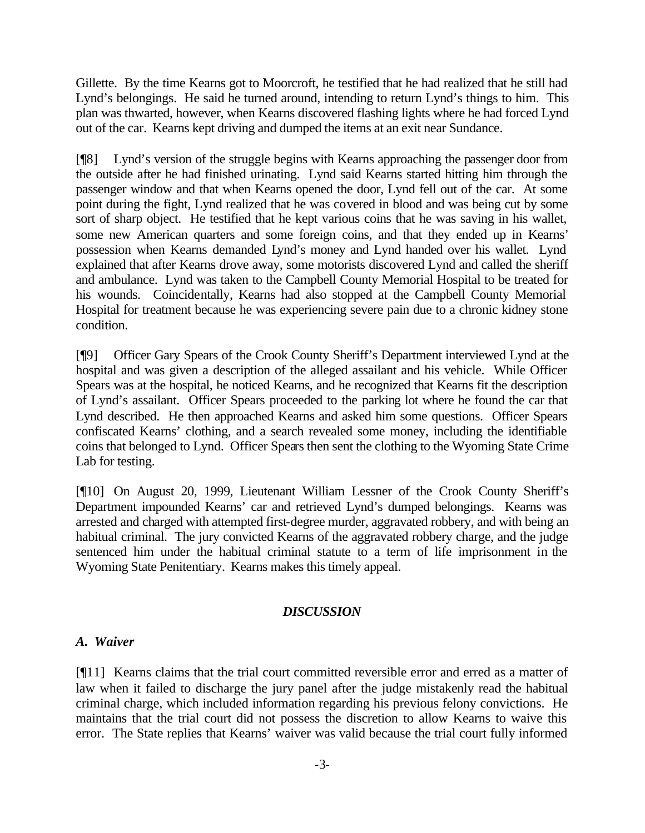Gillette. By the time Kearns got to Moorcroft, he testified that he had realized that he still had Lynd's belongings. He said he turned around, intending to return Lynd's things to him. This plan was thwarted, however, when Kearns discovered flashing lights where he had forced Lynd out of the car. Kearns kept driving and dumped the items at an exit near Sundance.

[¶8] Lynd's version of the struggle begins with Kearns approaching the passenger door from the outside after he had finished urinating. Lynd said Kearns started hitting him through the passenger window and that when Kearns opened the door, Lynd fell out of the car. At some point during the fight, Lynd realized that he was covered in blood and was being cut by some sort of sharp object. He testified that he kept various coins that he was saving in his wallet, some new American quarters and some foreign coins, and that they ended up in Kearns' possession when Kearns demanded Lynd's money and Lynd handed over his wallet. Lynd explained that after Kearns drove away, some motorists discovered Lynd and called the sheriff and ambulance. Lynd was taken to the Campbell County Memorial Hospital to be treated for his wounds. Coincidentally, Kearns had also stopped at the Campbell County Memorial Hospital for treatment because he was experiencing severe pain due to a chronic kidney stone condition.

[¶9] Officer Gary Spears of the Crook County Sheriff's Department interviewed Lynd at the hospital and was given a description of the alleged assailant and his vehicle. While Officer Spears was at the hospital, he noticed Kearns, and he recognized that Kearns fit the description of Lynd's assailant. Officer Spears proceeded to the parking lot where he found the car that Lynd described. He then approached Kearns and asked him some questions. Officer Spears confiscated Kearns' clothing, and a search revealed some money, including the identifiable coins that belonged to Lynd. Officer Spears then sent the clothing to the Wyoming State Crime Lab for testing.

[¶10] On August 20, 1999, Lieutenant William Lessner of the Crook County Sheriff's Department impounded Kearns' car and retrieved Lynd's dumped belongings. Kearns was arrested and charged with attempted first-degree murder, aggravated robbery, and with being an habitual criminal. The jury convicted Kearns of the aggravated robbery charge, and the judge sentenced him under the habitual criminal statute to a term of life imprisonment in the Wyoming State Penitentiary. Kearns makes this timely appeal.

# *DISCUSSION*

# *A. Waiver*

[¶11] Kearns claims that the trial court committed reversible error and erred as a matter of law when it failed to discharge the jury panel after the judge mistakenly read the habitual criminal charge, which included information regarding his previous felony convictions. He maintains that the trial court did not possess the discretion to allow Kearns to waive this error. The State replies that Kearns' waiver was valid because the trial court fully informed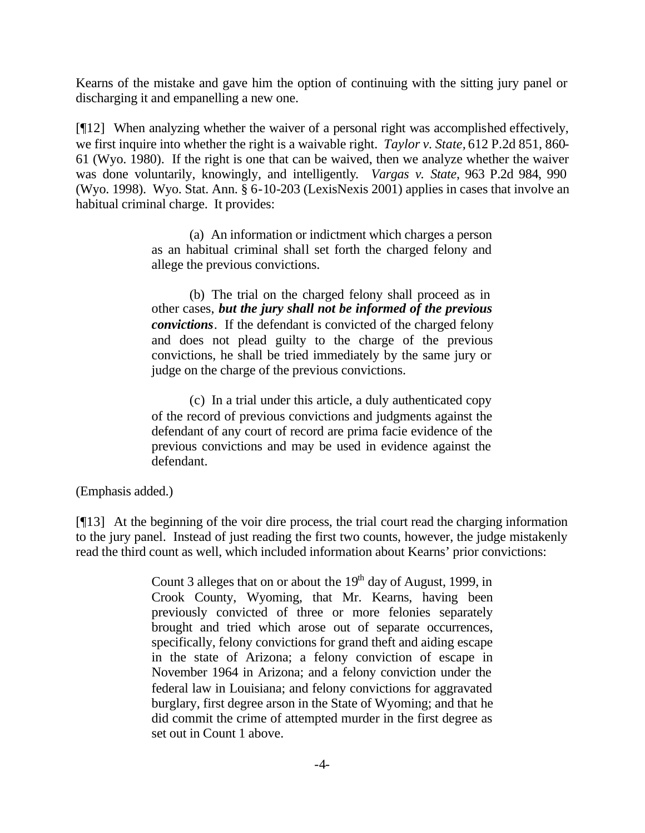Kearns of the mistake and gave him the option of continuing with the sitting jury panel or discharging it and empanelling a new one.

[¶12] When analyzing whether the waiver of a personal right was accomplished effectively, we first inquire into whether the right is a waivable right. *Taylor v. State,* 612 P.2d 851, 860- 61 (Wyo. 1980). If the right is one that can be waived, then we analyze whether the waiver was done voluntarily, knowingly, and intelligently. *Vargas v. State*, 963 P.2d 984, 990 (Wyo. 1998). Wyo. Stat. Ann. § 6-10-203 (LexisNexis 2001) applies in cases that involve an habitual criminal charge. It provides:

> (a) An information or indictment which charges a person as an habitual criminal shall set forth the charged felony and allege the previous convictions.

> (b) The trial on the charged felony shall proceed as in other cases, *but the jury shall not be informed of the previous convictions*. If the defendant is convicted of the charged felony and does not plead guilty to the charge of the previous convictions, he shall be tried immediately by the same jury or judge on the charge of the previous convictions.

> (c) In a trial under this article, a duly authenticated copy of the record of previous convictions and judgments against the defendant of any court of record are prima facie evidence of the previous convictions and may be used in evidence against the defendant.

(Emphasis added.)

[¶13] At the beginning of the voir dire process, the trial court read the charging information to the jury panel. Instead of just reading the first two counts, however, the judge mistakenly read the third count as well, which included information about Kearns' prior convictions:

> Count 3 alleges that on or about the  $19<sup>th</sup>$  day of August, 1999, in Crook County, Wyoming, that Mr. Kearns, having been previously convicted of three or more felonies separately brought and tried which arose out of separate occurrences, specifically, felony convictions for grand theft and aiding escape in the state of Arizona; a felony conviction of escape in November 1964 in Arizona; and a felony conviction under the federal law in Louisiana; and felony convictions for aggravated burglary, first degree arson in the State of Wyoming; and that he did commit the crime of attempted murder in the first degree as set out in Count 1 above.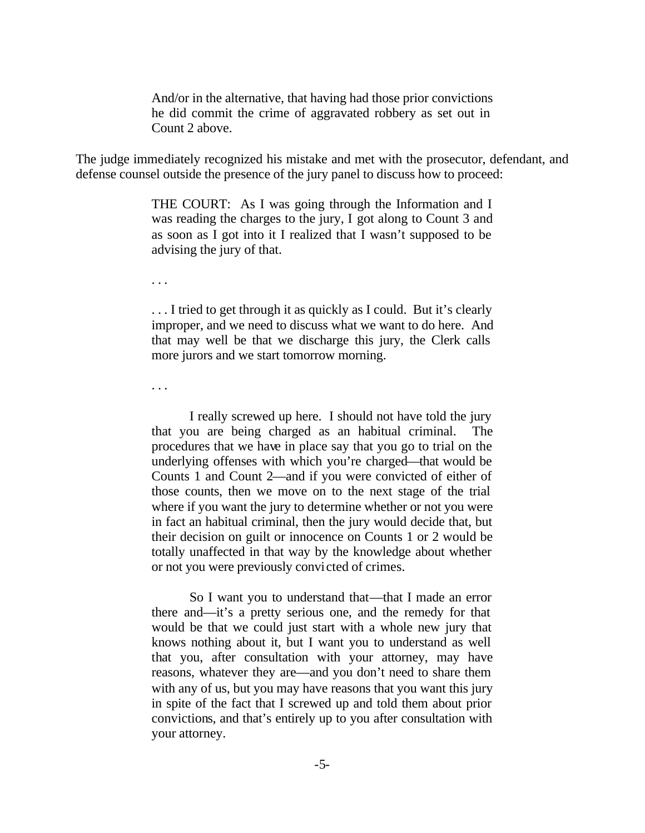And/or in the alternative, that having had those prior convictions he did commit the crime of aggravated robbery as set out in Count 2 above.

The judge immediately recognized his mistake and met with the prosecutor, defendant, and defense counsel outside the presence of the jury panel to discuss how to proceed:

> THE COURT: As I was going through the Information and I was reading the charges to the jury, I got along to Count 3 and as soon as I got into it I realized that I wasn't supposed to be advising the jury of that.

. . .

... I tried to get through it as quickly as I could. But it's clearly improper, and we need to discuss what we want to do here. And that may well be that we discharge this jury, the Clerk calls more jurors and we start tomorrow morning.

. . .

I really screwed up here. I should not have told the jury that you are being charged as an habitual criminal. The procedures that we have in place say that you go to trial on the underlying offenses with which you're charged—that would be Counts 1 and Count 2—and if you were convicted of either of those counts, then we move on to the next stage of the trial where if you want the jury to determine whether or not you were in fact an habitual criminal, then the jury would decide that, but their decision on guilt or innocence on Counts 1 or 2 would be totally unaffected in that way by the knowledge about whether or not you were previously convicted of crimes.

So I want you to understand that—that I made an error there and—it's a pretty serious one, and the remedy for that would be that we could just start with a whole new jury that knows nothing about it, but I want you to understand as well that you, after consultation with your attorney, may have reasons, whatever they are—and you don't need to share them with any of us, but you may have reasons that you want this jury in spite of the fact that I screwed up and told them about prior convictions, and that's entirely up to you after consultation with your attorney.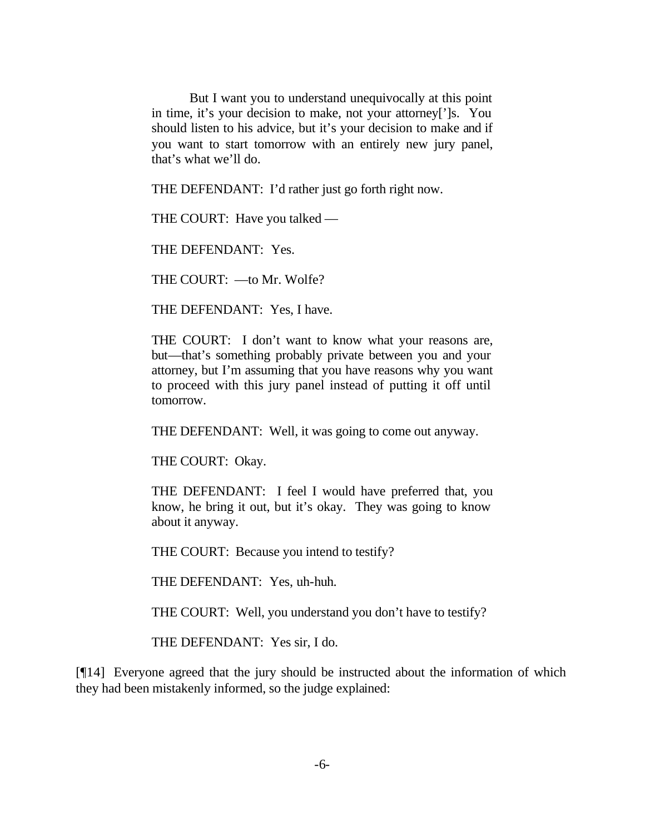But I want you to understand unequivocally at this point in time, it's your decision to make, not your attorney[']s. You should listen to his advice, but it's your decision to make and if you want to start tomorrow with an entirely new jury panel, that's what we'll do.

THE DEFENDANT: I'd rather just go forth right now.

THE COURT: Have you talked —

THE DEFENDANT: Yes.

THE COURT: —to Mr. Wolfe?

THE DEFENDANT: Yes, I have.

THE COURT: I don't want to know what your reasons are, but—that's something probably private between you and your attorney, but I'm assuming that you have reasons why you want to proceed with this jury panel instead of putting it off until tomorrow.

THE DEFENDANT: Well, it was going to come out anyway.

THE COURT: Okay.

THE DEFENDANT: I feel I would have preferred that, you know, he bring it out, but it's okay. They was going to know about it anyway.

THE COURT: Because you intend to testify?

THE DEFENDANT: Yes, uh-huh.

THE COURT: Well, you understand you don't have to testify?

THE DEFENDANT: Yes sir, I do.

[¶14] Everyone agreed that the jury should be instructed about the information of which they had been mistakenly informed, so the judge explained: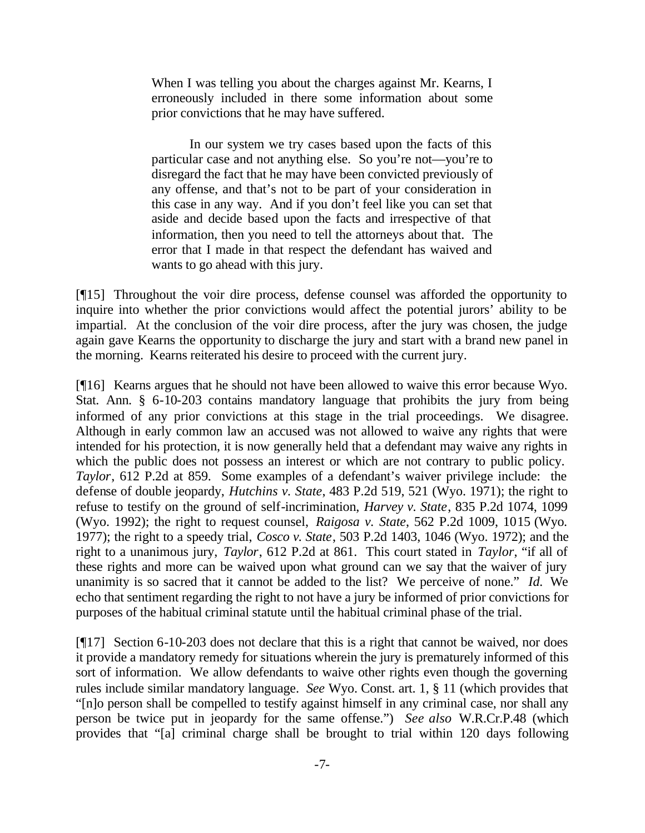When I was telling you about the charges against Mr. Kearns, I erroneously included in there some information about some prior convictions that he may have suffered.

In our system we try cases based upon the facts of this particular case and not anything else. So you're not—you're to disregard the fact that he may have been convicted previously of any offense, and that's not to be part of your consideration in this case in any way. And if you don't feel like you can set that aside and decide based upon the facts and irrespective of that information, then you need to tell the attorneys about that. The error that I made in that respect the defendant has waived and wants to go ahead with this jury.

[¶15] Throughout the voir dire process, defense counsel was afforded the opportunity to inquire into whether the prior convictions would affect the potential jurors' ability to be impartial. At the conclusion of the voir dire process, after the jury was chosen, the judge again gave Kearns the opportunity to discharge the jury and start with a brand new panel in the morning. Kearns reiterated his desire to proceed with the current jury.

[¶16] Kearns argues that he should not have been allowed to waive this error because Wyo. Stat. Ann. § 6-10-203 contains mandatory language that prohibits the jury from being informed of any prior convictions at this stage in the trial proceedings. We disagree. Although in early common law an accused was not allowed to waive any rights that were intended for his protection, it is now generally held that a defendant may waive any rights in which the public does not possess an interest or which are not contrary to public policy. *Taylor*, 612 P.2d at 859. Some examples of a defendant's waiver privilege include: the defense of double jeopardy, *Hutchins v. State*, 483 P.2d 519, 521 (Wyo. 1971); the right to refuse to testify on the ground of self-incrimination, *Harvey v. State*, 835 P.2d 1074, 1099 (Wyo. 1992); the right to request counsel, *Raigosa v. State*, 562 P.2d 1009, 1015 (Wyo. 1977); the right to a speedy trial, *Cosco v. State*, 503 P.2d 1403, 1046 (Wyo. 1972); and the right to a unanimous jury, *Taylor*, 612 P.2d at 861. This court stated in *Taylor*, "if all of these rights and more can be waived upon what ground can we say that the waiver of jury unanimity is so sacred that it cannot be added to the list? We perceive of none." *Id.* We echo that sentiment regarding the right to not have a jury be informed of prior convictions for purposes of the habitual criminal statute until the habitual criminal phase of the trial.

[¶17] Section 6-10-203 does not declare that this is a right that cannot be waived, nor does it provide a mandatory remedy for situations wherein the jury is prematurely informed of this sort of information. We allow defendants to waive other rights even though the governing rules include similar mandatory language. *See* Wyo. Const. art. 1, § 11 (which provides that "[n]o person shall be compelled to testify against himself in any criminal case, nor shall any person be twice put in jeopardy for the same offense.") *See also* W.R.Cr.P.48 (which provides that "[a] criminal charge shall be brought to trial within 120 days following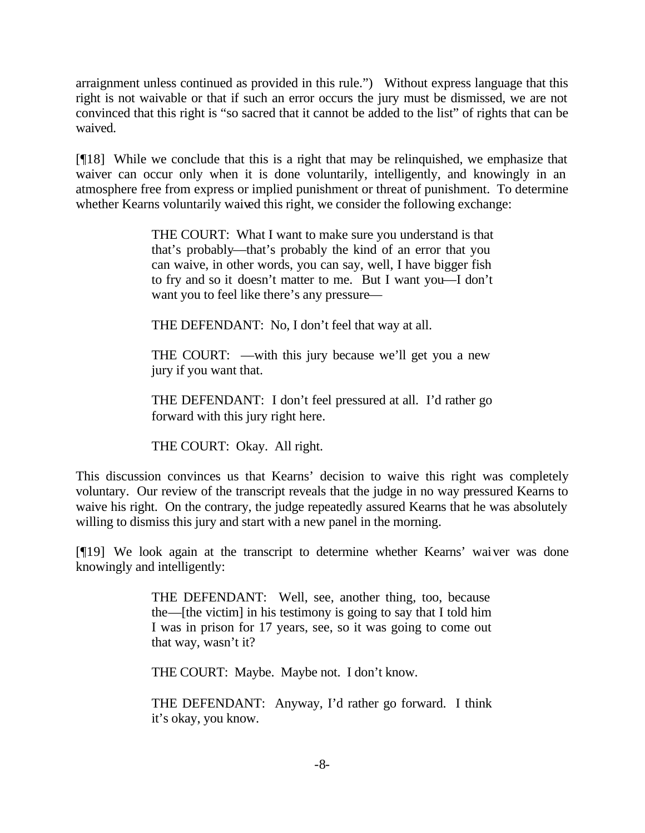arraignment unless continued as provided in this rule.") Without express language that this right is not waivable or that if such an error occurs the jury must be dismissed, we are not convinced that this right is "so sacred that it cannot be added to the list" of rights that can be waived.

[¶18] While we conclude that this is a right that may be relinquished, we emphasize that waiver can occur only when it is done voluntarily, intelligently, and knowingly in an atmosphere free from express or implied punishment or threat of punishment. To determine whether Kearns voluntarily waived this right, we consider the following exchange:

> THE COURT: What I want to make sure you understand is that that's probably—that's probably the kind of an error that you can waive, in other words, you can say, well, I have bigger fish to fry and so it doesn't matter to me. But I want you—I don't want you to feel like there's any pressure—

THE DEFENDANT: No, I don't feel that way at all.

THE COURT: —with this jury because we'll get you a new jury if you want that.

THE DEFENDANT: I don't feel pressured at all. I'd rather go forward with this jury right here.

THE COURT: Okay. All right.

This discussion convinces us that Kearns' decision to waive this right was completely voluntary. Our review of the transcript reveals that the judge in no way pressured Kearns to waive his right. On the contrary, the judge repeatedly assured Kearns that he was absolutely willing to dismiss this jury and start with a new panel in the morning.

[¶19] We look again at the transcript to determine whether Kearns' waiver was done knowingly and intelligently:

> THE DEFENDANT: Well, see, another thing, too, because the—[the victim] in his testimony is going to say that I told him I was in prison for 17 years, see, so it was going to come out that way, wasn't it?

THE COURT: Maybe. Maybe not. I don't know.

THE DEFENDANT: Anyway, I'd rather go forward. I think it's okay, you know.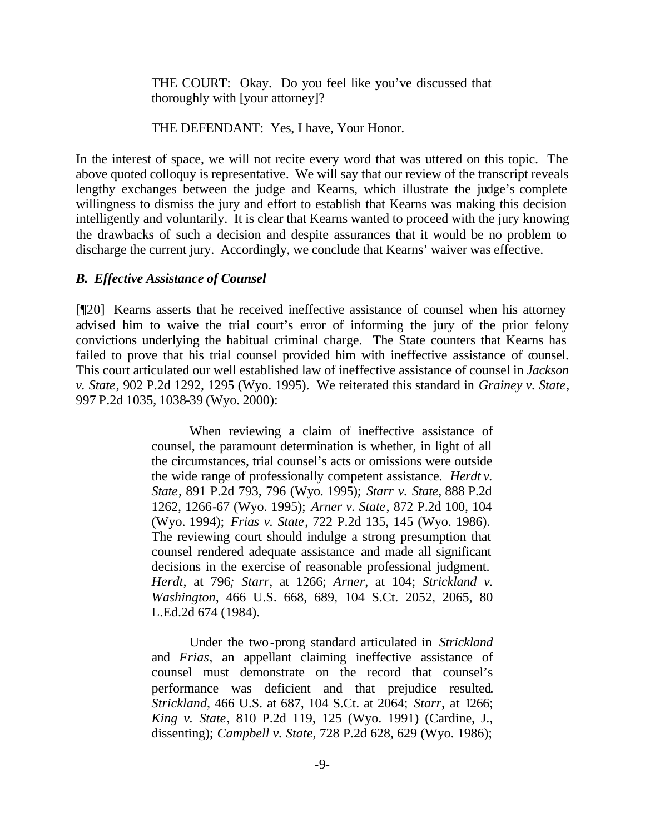THE COURT: Okay. Do you feel like you've discussed that thoroughly with [your attorney]?

THE DEFENDANT: Yes, I have, Your Honor.

In the interest of space, we will not recite every word that was uttered on this topic. The above quoted colloquy is representative. We will say that our review of the transcript reveals lengthy exchanges between the judge and Kearns, which illustrate the judge's complete willingness to dismiss the jury and effort to establish that Kearns was making this decision intelligently and voluntarily. It is clear that Kearns wanted to proceed with the jury knowing the drawbacks of such a decision and despite assurances that it would be no problem to discharge the current jury. Accordingly, we conclude that Kearns' waiver was effective.

# *B. Effective Assistance of Counsel*

[¶20] Kearns asserts that he received ineffective assistance of counsel when his attorney advised him to waive the trial court's error of informing the jury of the prior felony convictions underlying the habitual criminal charge. The State counters that Kearns has failed to prove that his trial counsel provided him with ineffective assistance of counsel. This court articulated our well established law of ineffective assistance of counsel in *Jackson v. State*, 902 P.2d 1292, 1295 (Wyo. 1995). We reiterated this standard in *Grainey v. State*, 997 P.2d 1035, 1038-39 (Wyo. 2000):

> When reviewing a claim of ineffective assistance of counsel, the paramount determination is whether, in light of all the circumstances, trial counsel's acts or omissions were outside the wide range of professionally competent assistance. *Herdt v. State*, 891 P.2d 793, 796 (Wyo. 1995); *Starr v. State*, 888 P.2d 1262, 1266-67 (Wyo. 1995); *Arner v. State*, 872 P.2d 100, 104 (Wyo. 1994); *Frias v. State*, 722 P.2d 135, 145 (Wyo. 1986). The reviewing court should indulge a strong presumption that counsel rendered adequate assistance and made all significant decisions in the exercise of reasonable professional judgment. *Herdt*, at 796*; Starr*, at 1266; *Arner*, at 104; *Strickland v. Washington*, 466 U.S. 668, 689, 104 S.Ct. 2052, 2065, 80 L.Ed.2d 674 (1984).

> Under the two-prong standard articulated in *Strickland* and *Frias*, an appellant claiming ineffective assistance of counsel must demonstrate on the record that counsel's performance was deficient and that prejudice resulted*. Strickland*, 466 U.S. at 687, 104 S.Ct. at 2064; *Starr*, at 1266; *King v. State*, 810 P.2d 119, 125 (Wyo. 1991) (Cardine, J., dissenting); *Campbell v. State*, 728 P.2d 628, 629 (Wyo. 1986);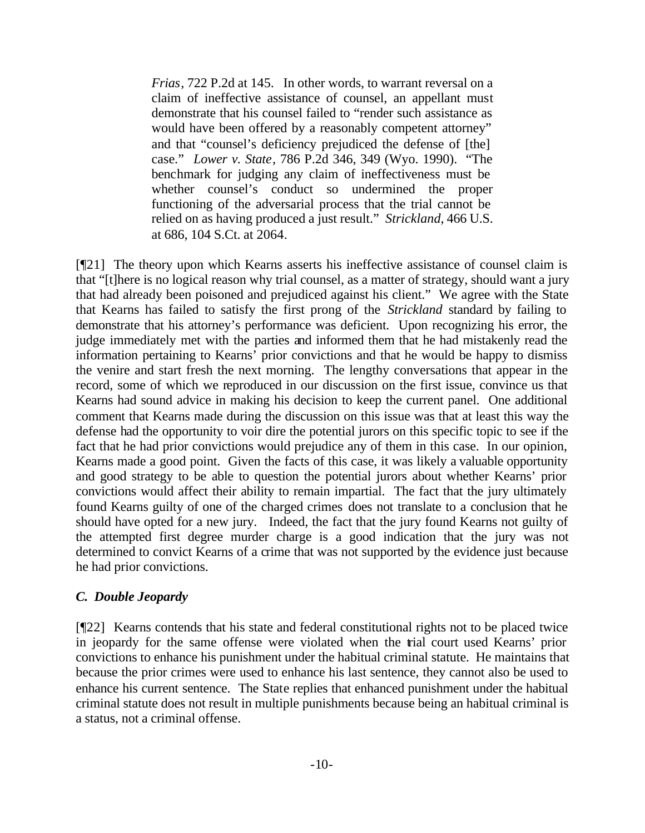*Frias*, 722 P.2d at 145. In other words, to warrant reversal on a claim of ineffective assistance of counsel, an appellant must demonstrate that his counsel failed to "render such assistance as would have been offered by a reasonably competent attorney" and that "counsel's deficiency prejudiced the defense of [the] case." *Lower v. State*, 786 P.2d 346, 349 (Wyo. 1990). "The benchmark for judging any claim of ineffectiveness must be whether counsel's conduct so undermined the proper functioning of the adversarial process that the trial cannot be relied on as having produced a just result." *Strickland*, 466 U.S. at 686, 104 S.Ct. at 2064.

[¶21] The theory upon which Kearns asserts his ineffective assistance of counsel claim is that "[t]here is no logical reason why trial counsel, as a matter of strategy, should want a jury that had already been poisoned and prejudiced against his client." We agree with the State that Kearns has failed to satisfy the first prong of the *Strickland* standard by failing to demonstrate that his attorney's performance was deficient. Upon recognizing his error, the judge immediately met with the parties and informed them that he had mistakenly read the information pertaining to Kearns' prior convictions and that he would be happy to dismiss the venire and start fresh the next morning. The lengthy conversations that appear in the record, some of which we reproduced in our discussion on the first issue, convince us that Kearns had sound advice in making his decision to keep the current panel. One additional comment that Kearns made during the discussion on this issue was that at least this way the defense had the opportunity to voir dire the potential jurors on this specific topic to see if the fact that he had prior convictions would prejudice any of them in this case. In our opinion, Kearns made a good point. Given the facts of this case, it was likely a valuable opportunity and good strategy to be able to question the potential jurors about whether Kearns' prior convictions would affect their ability to remain impartial. The fact that the jury ultimately found Kearns guilty of one of the charged crimes does not translate to a conclusion that he should have opted for a new jury. Indeed, the fact that the jury found Kearns not guilty of the attempted first degree murder charge is a good indication that the jury was not determined to convict Kearns of a crime that was not supported by the evidence just because he had prior convictions.

# *C. Double Jeopardy*

[¶22] Kearns contends that his state and federal constitutional rights not to be placed twice in jeopardy for the same offense were violated when the trial court used Kearns' prior convictions to enhance his punishment under the habitual criminal statute. He maintains that because the prior crimes were used to enhance his last sentence, they cannot also be used to enhance his current sentence. The State replies that enhanced punishment under the habitual criminal statute does not result in multiple punishments because being an habitual criminal is a status, not a criminal offense.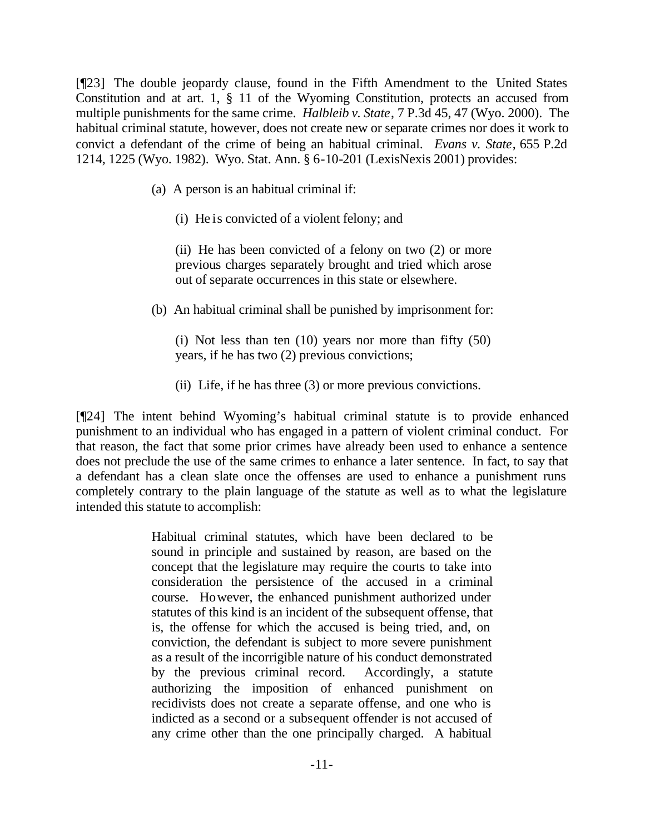[¶23] The double jeopardy clause, found in the Fifth Amendment to the United States Constitution and at art. 1, § 11 of the Wyoming Constitution, protects an accused from multiple punishments for the same crime. *Halbleib v. State*, 7 P.3d 45, 47 (Wyo. 2000). The habitual criminal statute, however, does not create new or separate crimes nor does it work to convict a defendant of the crime of being an habitual criminal. *Evans v. State*, 655 P.2d 1214, 1225 (Wyo. 1982). Wyo. Stat. Ann. § 6-10-201 (LexisNexis 2001) provides:

- (a) A person is an habitual criminal if:
	- (i) He is convicted of a violent felony; and

(ii) He has been convicted of a felony on two (2) or more previous charges separately brought and tried which arose out of separate occurrences in this state or elsewhere.

(b) An habitual criminal shall be punished by imprisonment for:

(i) Not less than ten (10) years nor more than fifty (50) years, if he has two (2) previous convictions;

(ii) Life, if he has three (3) or more previous convictions.

[¶24] The intent behind Wyoming's habitual criminal statute is to provide enhanced punishment to an individual who has engaged in a pattern of violent criminal conduct. For that reason, the fact that some prior crimes have already been used to enhance a sentence does not preclude the use of the same crimes to enhance a later sentence. In fact, to say that a defendant has a clean slate once the offenses are used to enhance a punishment runs completely contrary to the plain language of the statute as well as to what the legislature intended this statute to accomplish:

> Habitual criminal statutes, which have been declared to be sound in principle and sustained by reason, are based on the concept that the legislature may require the courts to take into consideration the persistence of the accused in a criminal course. However, the enhanced punishment authorized under statutes of this kind is an incident of the subsequent offense, that is, the offense for which the accused is being tried, and, on conviction, the defendant is subject to more severe punishment as a result of the incorrigible nature of his conduct demonstrated by the previous criminal record. Accordingly, a statute authorizing the imposition of enhanced punishment on recidivists does not create a separate offense, and one who is indicted as a second or a subsequent offender is not accused of any crime other than the one principally charged. A habitual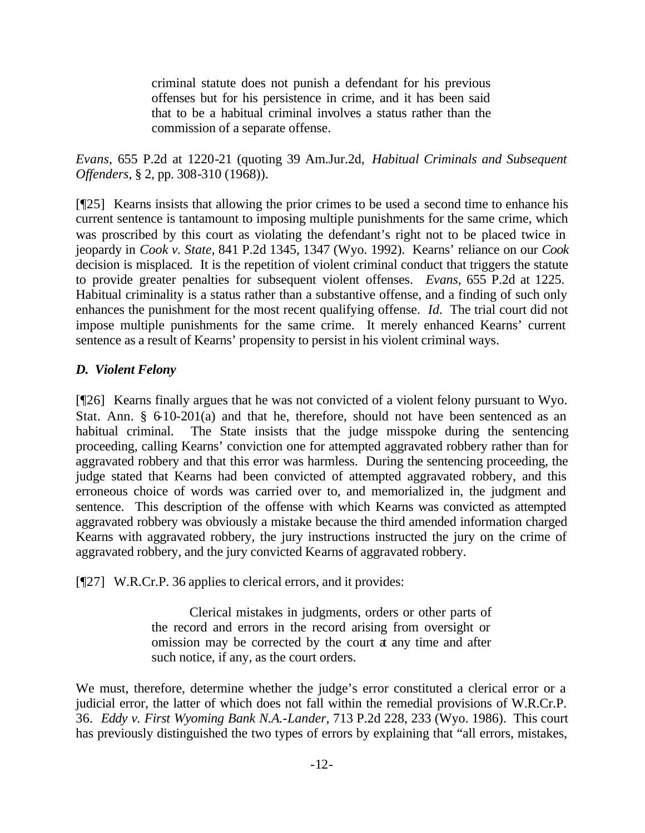criminal statute does not punish a defendant for his previous offenses but for his persistence in crime, and it has been said that to be a habitual criminal involves a status rather than the commission of a separate offense.

*Evans*, 655 P.2d at 1220-21 (quoting 39 Am.Jur.2d, *Habitual Criminals and Subsequent Offenders*, § 2, pp. 308-310 (1968)).

[¶25] Kearns insists that allowing the prior crimes to be used a second time to enhance his current sentence is tantamount to imposing multiple punishments for the same crime, which was proscribed by this court as violating the defendant's right not to be placed twice in jeopardy in *Cook v. State*, 841 P.2d 1345, 1347 (Wyo. 1992). Kearns' reliance on our *Cook*  decision is misplaced. It is the repetition of violent criminal conduct that triggers the statute to provide greater penalties for subsequent violent offenses. *Evans*, 655 P.2d at 1225. Habitual criminality is a status rather than a substantive offense, and a finding of such only enhances the punishment for the most recent qualifying offense. *Id.* The trial court did not impose multiple punishments for the same crime. It merely enhanced Kearns' current sentence as a result of Kearns' propensity to persist in his violent criminal ways.

# *D. Violent Felony*

[¶26] Kearns finally argues that he was not convicted of a violent felony pursuant to Wyo. Stat. Ann.  $\S 610-201(a)$  and that he, therefore, should not have been sentenced as an habitual criminal. The State insists that the judge misspoke during the sentencing proceeding, calling Kearns' conviction one for attempted aggravated robbery rather than for aggravated robbery and that this error was harmless. During the sentencing proceeding, the judge stated that Kearns had been convicted of attempted aggravated robbery, and this erroneous choice of words was carried over to, and memorialized in, the judgment and sentence. This description of the offense with which Kearns was convicted as attempted aggravated robbery was obviously a mistake because the third amended information charged Kearns with aggravated robbery, the jury instructions instructed the jury on the crime of aggravated robbery, and the jury convicted Kearns of aggravated robbery.

[¶27] W.R.Cr.P. 36 applies to clerical errors, and it provides:

Clerical mistakes in judgments, orders or other parts of the record and errors in the record arising from oversight or omission may be corrected by the court at any time and after such notice, if any, as the court orders.

We must, therefore, determine whether the judge's error constituted a clerical error or a judicial error, the latter of which does not fall within the remedial provisions of W.R.Cr.P. 36. *Eddy v. First Wyoming Bank N.A.-Lander*, 713 P.2d 228, 233 (Wyo. 1986). This court has previously distinguished the two types of errors by explaining that "all errors, mistakes,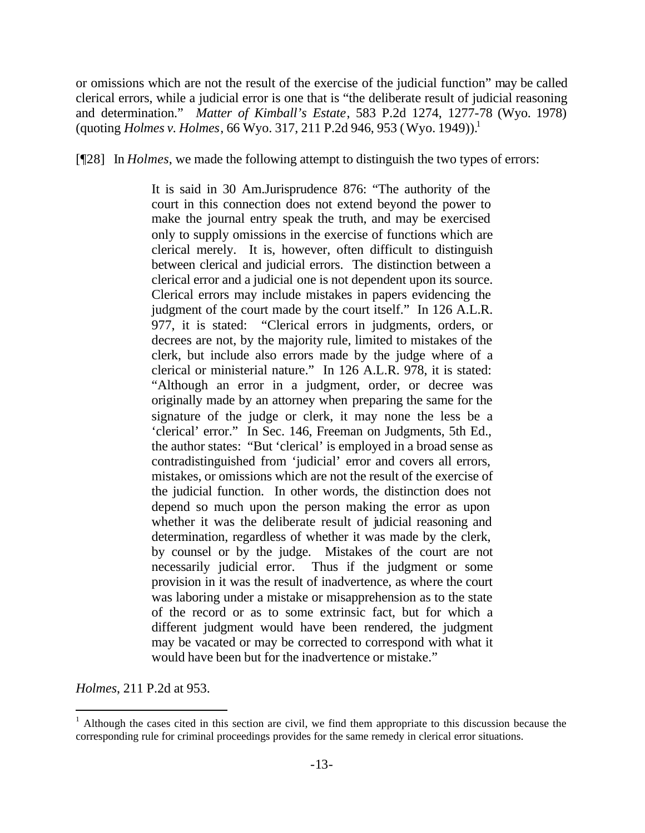or omissions which are not the result of the exercise of the judicial function" may be called clerical errors, while a judicial error is one that is "the deliberate result of judicial reasoning and determination." *Matter of Kimball's Estate*, 583 P.2d 1274, 1277-78 (Wyo. 1978) (quoting *Holmes v. Holmes*, 66 Wyo. 317, 211 P.2d 946, 953 (Wyo. 1949)).<sup>1</sup>

[¶28] In *Holmes*, we made the following attempt to distinguish the two types of errors:

It is said in 30 Am.Jurisprudence 876: "The authority of the court in this connection does not extend beyond the power to make the journal entry speak the truth, and may be exercised only to supply omissions in the exercise of functions which are clerical merely. It is, however, often difficult to distinguish between clerical and judicial errors. The distinction between a clerical error and a judicial one is not dependent upon its source. Clerical errors may include mistakes in papers evidencing the judgment of the court made by the court itself." In 126 A.L.R. 977, it is stated: "Clerical errors in judgments, orders, or decrees are not, by the majority rule, limited to mistakes of the clerk, but include also errors made by the judge where of a clerical or ministerial nature." In 126 A.L.R. 978, it is stated: "Although an error in a judgment, order, or decree was originally made by an attorney when preparing the same for the signature of the judge or clerk, it may none the less be a 'clerical' error." In Sec. 146, Freeman on Judgments, 5th Ed., the author states: "But 'clerical' is employed in a broad sense as contradistinguished from 'judicial' error and covers all errors, mistakes, or omissions which are not the result of the exercise of the judicial function. In other words, the distinction does not depend so much upon the person making the error as upon whether it was the deliberate result of judicial reasoning and determination, regardless of whether it was made by the clerk, by counsel or by the judge. Mistakes of the court are not necessarily judicial error. Thus if the judgment or some provision in it was the result of inadvertence, as where the court was laboring under a mistake or misapprehension as to the state of the record or as to some extrinsic fact, but for which a different judgment would have been rendered, the judgment may be vacated or may be corrected to correspond with what it would have been but for the inadvertence or mistake."

*Holmes*, 211 P.2d at 953.

l

<sup>&</sup>lt;sup>1</sup> Although the cases cited in this section are civil, we find them appropriate to this discussion because the corresponding rule for criminal proceedings provides for the same remedy in clerical error situations.